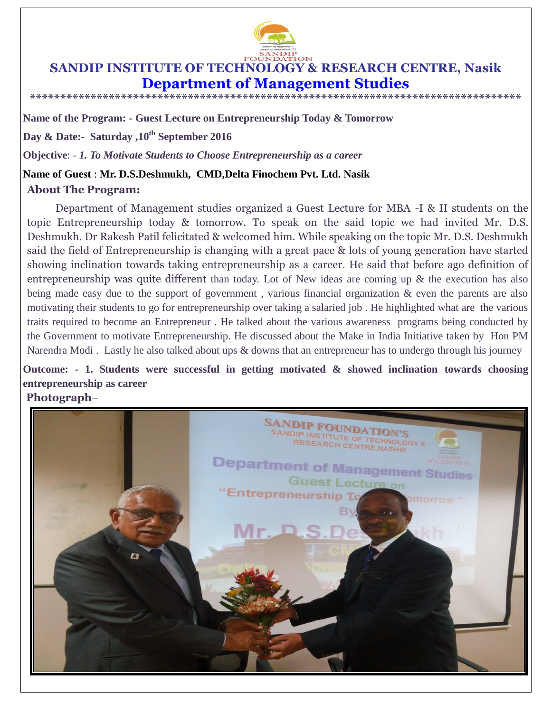

# **SANDIP INSTITUTE OF TECHNOLOGY & RESEARCH CENTRE, Nasik Department of Management Studies**

**\*\*\*\*\*\*\*\*\*\*\*\*\*\*\*\*\*\*\*\*\*\*\*\*\*\*\*\*\*\*\*\*\*\*\*\*\*\*\*\*\*\*\*\*\*\*\*\*\*\*\*\*\*\*\*\*\*\*\*\*\*\*\*\*\*\*\*\*\*\*\*\*\*\*\*\*\*\*\*\*\***

**Name of the Program: - Guest Lecture on Entrepreneurship Today & Tomorrow** 

**Day & Date:- Saturday ,10th September 2016**

**Objective**: - *1. To Motivate Students to Choose Entrepreneurship as a career* 

### **Name of Guest** : **Mr. D.S.Deshmukh, CMD,Delta Finochem Pvt. Ltd. Nasik**

### **About The Program:**

Department of Management studies organized a Guest Lecture for MBA -I & II students on the topic Entrepreneurship today & tomorrow. To speak on the said topic we had invited Mr. D.S. Deshmukh. Dr Rakesh Patil felicitated & welcomed him. While speaking on the topic Mr. D.S. Deshmukh said the field of Entrepreneurship is changing with a great pace & lots of young generation have started showing inclination towards taking entrepreneurship as a career. He said that before ago definition of entrepreneurship was quite different than today. Lot of New ideas are coming up & the execution has also being made easy due to the support of government, various financial organization & even the parents are also motivating their students to go for entrepreneurship over taking a salaried job . He highlighted what are the various traits required to become an Entrepreneur . He talked about the various awareness programs being conducted by the Government to motivate Entrepreneurship. He discussed about the Make in India Initiative taken by Hon PM Narendra Modi . Lastly he also talked about ups & downs that an entrepreneur has to undergo through his journey

## **Outcome: - 1. Students were successful in getting motivated & showed inclination towards choosing entrepreneurship as career**

#### **Photograph**–